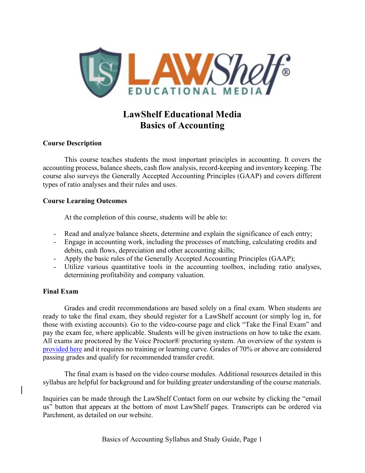

# LawShelf Educational Media Basics of Accounting

## Course Description

 This course teaches students the most important principles in accounting. It covers the accounting process, balance sheets, cash flow analysis, record-keeping and inventory keeping. The course also surveys the Generally Accepted Accounting Principles (GAAP) and covers different types of ratio analyses and their rules and uses.

## Course Learning Outcomes

At the completion of this course, students will be able to:

- Read and analyze balance sheets, determine and explain the significance of each entry;
- Engage in accounting work, including the processes of matching, calculating credits and debits, cash flows, depreciation and other accounting skills;
- Apply the basic rules of the Generally Accepted Accounting Principles (GAAP);
- Utilize various quantitative tools in the accounting toolbox, including ratio analyses, determining profitability and company valuation.

# Final Exam

 Grades and credit recommendations are based solely on a final exam. When students are ready to take the final exam, they should register for a LawShelf account (or simply log in, for those with existing accounts). Go to the video-course page and click "Take the Final Exam" and pay the exam fee, where applicable. Students will be given instructions on how to take the exam. All exams are proctored by the Voice Proctor® proctoring system. An overview of the system is provided here and it requires no training or learning curve. Grades of 70% or above are considered passing grades and qualify for recommended transfer credit.

 The final exam is based on the video course modules. Additional resources detailed in this syllabus are helpful for background and for building greater understanding of the course materials.

Inquiries can be made through the LawShelf Contact form on our website by clicking the "email us" button that appears at the bottom of most LawShelf pages. Transcripts can be ordered via Parchment, as detailed on our website.